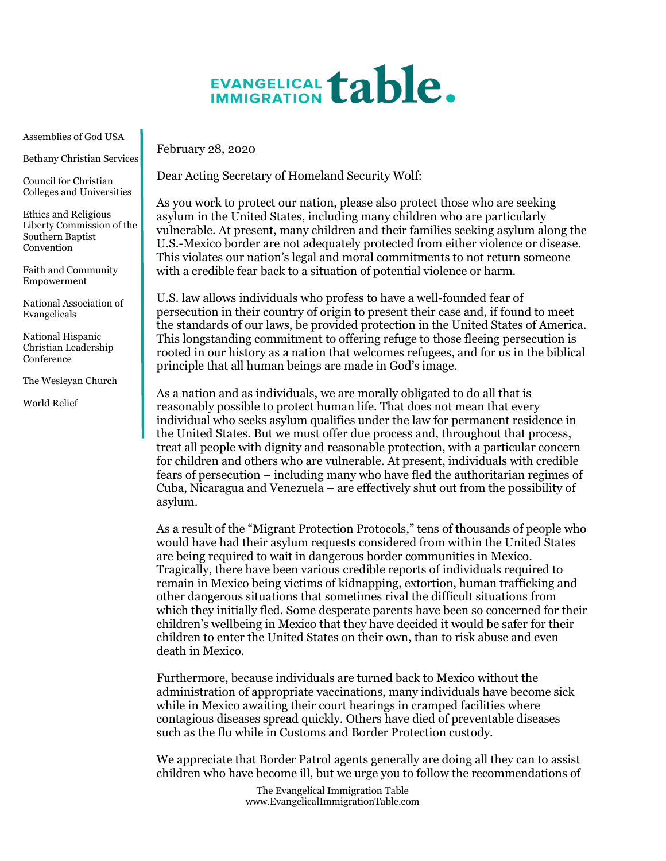## EVANGELICAL table.

Assemblies of God USA

Bethany Christian Services

Council for Christian Colleges and Universities

Ethics and Religious Liberty Commission of the Southern Baptist Convention

Faith and Community Empowerment

National Association of Evangelicals

National Hispanic Christian Leadership Conference

The Wesleyan Church

World Relief

February 28, 2020

Dear Acting Secretary of Homeland Security Wolf:

As you work to protect our nation, please also protect those who are seeking asylum in the United States, including many children who are particularly vulnerable. At present, many children and their families seeking asylum along the U.S.-Mexico border are not adequately protected from either violence or disease. This violates our nation's legal and moral commitments to not return someone with a credible fear back to a situation of potential violence or harm.

U.S. law allows individuals who profess to have a well-founded fear of persecution in their country of origin to present their case and, if found to meet the standards of our laws, be provided protection in the United States of America. This longstanding commitment to offering refuge to those fleeing persecution is rooted in our history as a nation that welcomes refugees, and for us in the biblical principle that all human beings are made in God's image.

As a nation and as individuals, we are morally obligated to do all that is reasonably possible to protect human life. That does not mean that every individual who seeks asylum qualifies under the law for permanent residence in the United States. But we must offer due process and, throughout that process, treat all people with dignity and reasonable protection, with a particular concern for children and others who are vulnerable. At present, individuals with credible fears of persecution – including many who have fled the authoritarian regimes of Cuba, Nicaragua and Venezuela – are effectively shut out from the possibility of asylum.

As a result of the "Migrant Protection Protocols," tens of thousands of people who would have had their asylum requests considered from within the United States are being required to wait in dangerous border communities in Mexico. Tragically, there have been various credible reports of individuals required to remain in Mexico being victims of kidnapping, extortion, human trafficking and other dangerous situations that sometimes rival the difficult situations from which they initially fled. Some desperate parents have been so concerned for their children's wellbeing in Mexico that they have decided it would be safer for their children to enter the United States on their own, than to risk abuse and even death in Mexico.

Furthermore, because individuals are turned back to Mexico without the administration of appropriate vaccinations, many individuals have become sick while in Mexico awaiting their court hearings in cramped facilities where contagious diseases spread quickly. Others have died of preventable diseases such as the flu while in Customs and Border Protection custody.

We appreciate that Border Patrol agents generally are doing all they can to assist children who have become ill, but we urge you to follow the recommendations of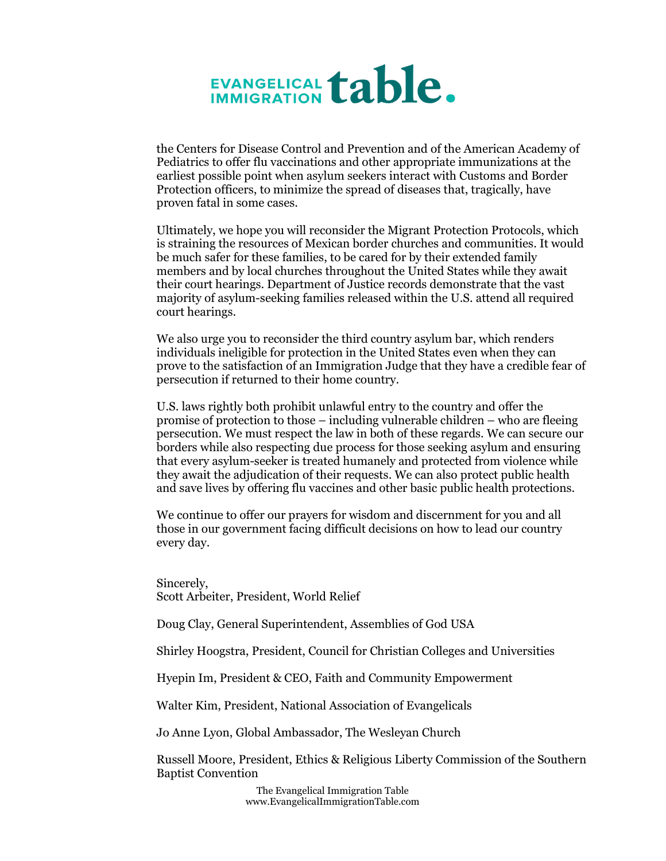

the Centers for Disease Control and Prevention and of the American Academy of Pediatrics to offer flu vaccinations and other appropriate immunizations at the earliest possible point when asylum seekers interact with Customs and Border Protection officers, to minimize the spread of diseases that, tragically, have proven fatal in some cases.

Ultimately, we hope you will reconsider the Migrant Protection Protocols, which is straining the resources of Mexican border churches and communities. It would be much safer for these families, to be cared for by their extended family members and by local churches throughout the United States while they await their court hearings. Department of Justice records demonstrate that the vast majority of asylum-seeking families released within the U.S. attend all required court hearings.

We also urge you to reconsider the third country asylum bar, which renders individuals ineligible for protection in the United States even when they can prove to the satisfaction of an Immigration Judge that they have a credible fear of persecution if returned to their home country.

U.S. laws rightly both prohibit unlawful entry to the country and offer the promise of protection to those – including vulnerable children – who are fleeing persecution. We must respect the law in both of these regards. We can secure our borders while also respecting due process for those seeking asylum and ensuring that every asylum-seeker is treated humanely and protected from violence while they await the adjudication of their requests. We can also protect public health and save lives by offering flu vaccines and other basic public health protections.

We continue to offer our prayers for wisdom and discernment for you and all those in our government facing difficult decisions on how to lead our country every day.

Sincerely, Scott Arbeiter, President, World Relief

Doug Clay, General Superintendent, Assemblies of God USA

Shirley Hoogstra, President, Council for Christian Colleges and Universities

Hyepin Im, President & CEO, Faith and Community Empowerment

Walter Kim, President, National Association of Evangelicals

Jo Anne Lyon, Global Ambassador, The Wesleyan Church

Russell Moore, President, Ethics & Religious Liberty Commission of the Southern Baptist Convention

> The Evangelical Immigration Table www.EvangelicalImmigrationTable.com